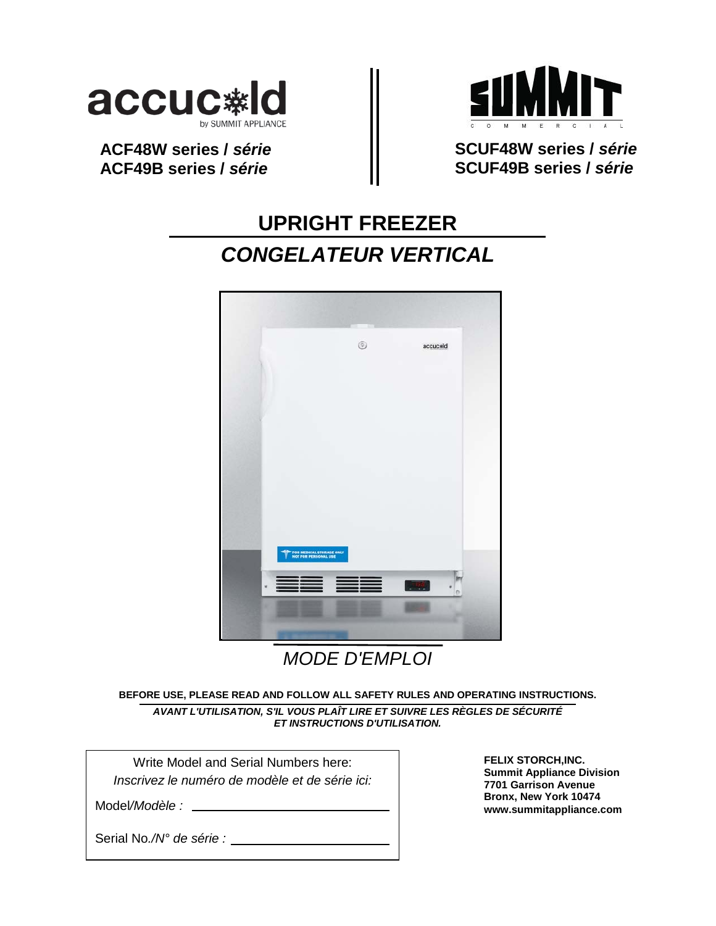

**ACF48W series /** *série* **ACF49B series /** *série*



**SCUF48W series /** *série* **SCUF49B series /** *série*

# **UPRIGHT FREEZER** *CONGELATEUR VERTICAL*



*MODE D'EMPLOI*

**BEFORE USE, PLEASE READ AND FOLLOW ALL SAFETY RULES AND OPERATING INSTRUCTIONS.**

*AVANT L'UTILISATION, S'IL VOUS PLAÎT LIRE ET SUIVRE LES RÈGLES DE SÉCURITÉ ET INSTRUCTIONS D'UTILISATION.*

Write Model and Serial Numbers here: *Inscrivez le numéro de modèle et de série ici:*

Model*/Modèle :*

**FELIX STORCH,INC. Summit Appliance Division 7701 Garrison Avenue Bronx, New York 10474 www.summitappliance.com**

Serial No*./N° de série :*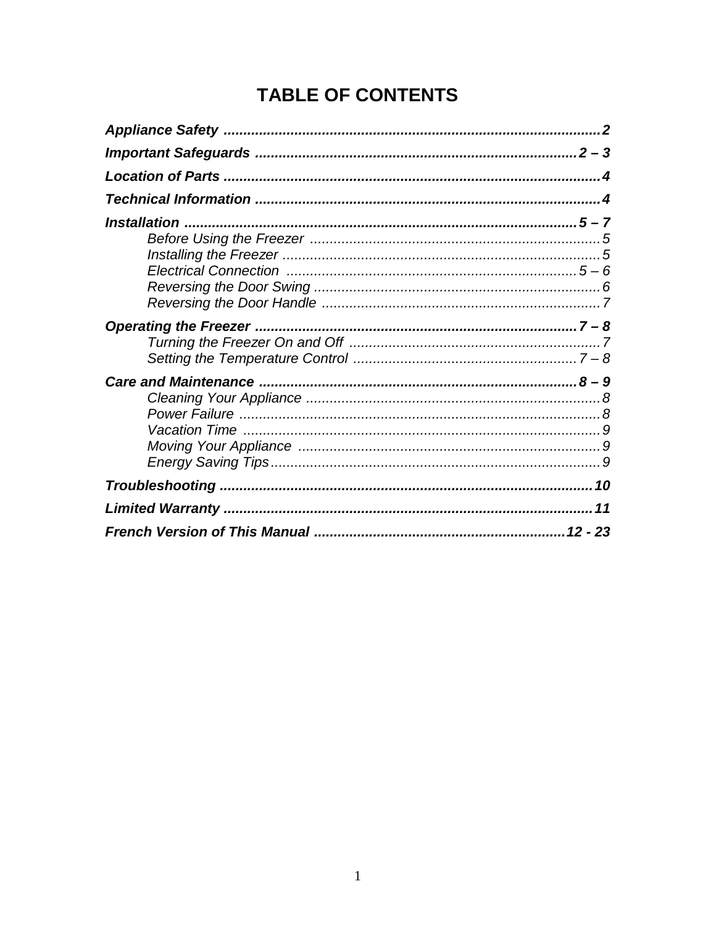# **TABLE OF CONTENTS**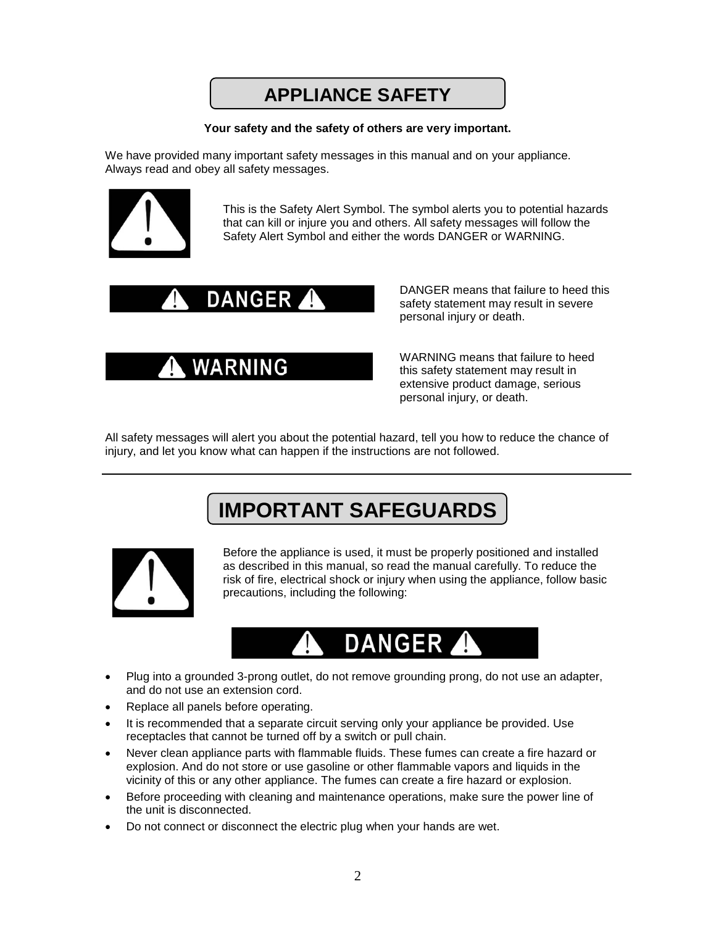## **APPLIANCE SAFETY**

### **Your safety and the safety of others are very important.**

We have provided many important safety messages in this manual and on your appliance. Always read and obey all safety messages.



This is the Safety Alert Symbol. The symbol alerts you to potential hazards that can kill or injure you and others. All safety messages will follow the Safety Alert Symbol and either the words DANGER or WARNING.



WARNING

DANGER means that failure to heed this safety statement may result in severe personal injury or death.

WARNING means that failure to heed this safety statement may result in extensive product damage, serious personal injury, or death.

All safety messages will alert you about the potential hazard, tell you how to reduce the chance of injury, and let you know what can happen if the instructions are not followed.

# **IMPORTANT SAFEGUARDS**



Before the appliance is used, it must be properly positioned and installed as described in this manual, so read the manual carefully. To reduce the risk of fire, electrical shock or injury when using the appliance, follow basic precautions, including the following:



- Plug into a grounded 3-prong outlet, do not remove grounding prong, do not use an adapter, and do not use an extension cord.
- Replace all panels before operating.
- It is recommended that a separate circuit serving only your appliance be provided. Use receptacles that cannot be turned off by a switch or pull chain.
- Never clean appliance parts with flammable fluids. These fumes can create a fire hazard or explosion. And do not store or use gasoline or other flammable vapors and liquids in the vicinity of this or any other appliance. The fumes can create a fire hazard or explosion.
- Before proceeding with cleaning and maintenance operations, make sure the power line of the unit is disconnected.
- Do not connect or disconnect the electric plug when your hands are wet.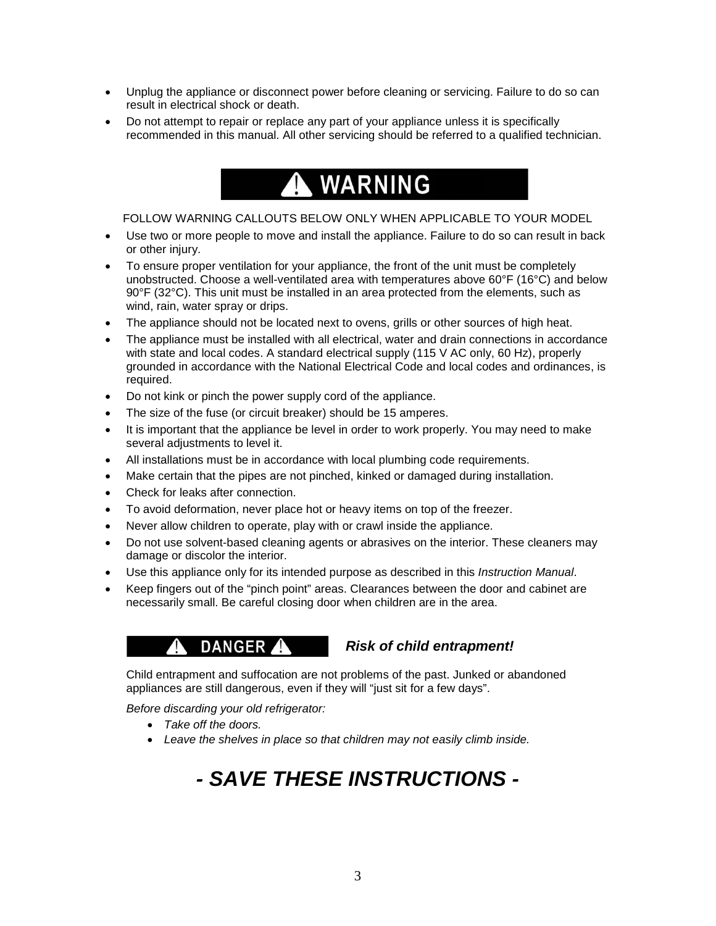- Unplug the appliance or disconnect power before cleaning or servicing. Failure to do so can result in electrical shock or death.
- Do not attempt to repair or replace any part of your appliance unless it is specifically recommended in this manual. All other servicing should be referred to a qualified technician.

# **WARNING**

FOLLOW WARNING CALLOUTS BELOW ONLY WHEN APPLICABLE TO YOUR MODEL

- Use two or more people to move and install the appliance. Failure to do so can result in back or other injury.
- To ensure proper ventilation for your appliance, the front of the unit must be completely unobstructed. Choose a well-ventilated area with temperatures above 60°F (16°C) and below 90°F (32°C). This unit must be installed in an area protected from the elements, such as wind, rain, water spray or drips.
- The appliance should not be located next to ovens, grills or other sources of high heat.
- The appliance must be installed with all electrical, water and drain connections in accordance with state and local codes. A standard electrical supply (115 V AC only, 60 Hz), properly grounded in accordance with the National Electrical Code and local codes and ordinances, is required.
- Do not kink or pinch the power supply cord of the appliance.
- The size of the fuse (or circuit breaker) should be 15 amperes.
- It is important that the appliance be level in order to work properly. You may need to make several adjustments to level it.
- All installations must be in accordance with local plumbing code requirements.
- Make certain that the pipes are not pinched, kinked or damaged during installation.
- Check for leaks after connection.
- To avoid deformation, never place hot or heavy items on top of the freezer.
- Never allow children to operate, play with or crawl inside the appliance.
- Do not use solvent-based cleaning agents or abrasives on the interior. These cleaners may damage or discolor the interior.
- Use this appliance only for its intended purpose as described in this *Instruction Manual*.
- Keep fingers out of the "pinch point" areas. Clearances between the door and cabinet are necessarily small. Be careful closing door when children are in the area.

## **DANGER** *Risk of child entrapment!*

Child entrapment and suffocation are not problems of the past. Junked or abandoned appliances are still dangerous, even if they will "just sit for a few days".

*Before discarding your old refrigerator:*

- *Take off the doors.*
- *Leave the shelves in place so that children may not easily climb inside.*

# *- SAVE THESE INSTRUCTIONS -*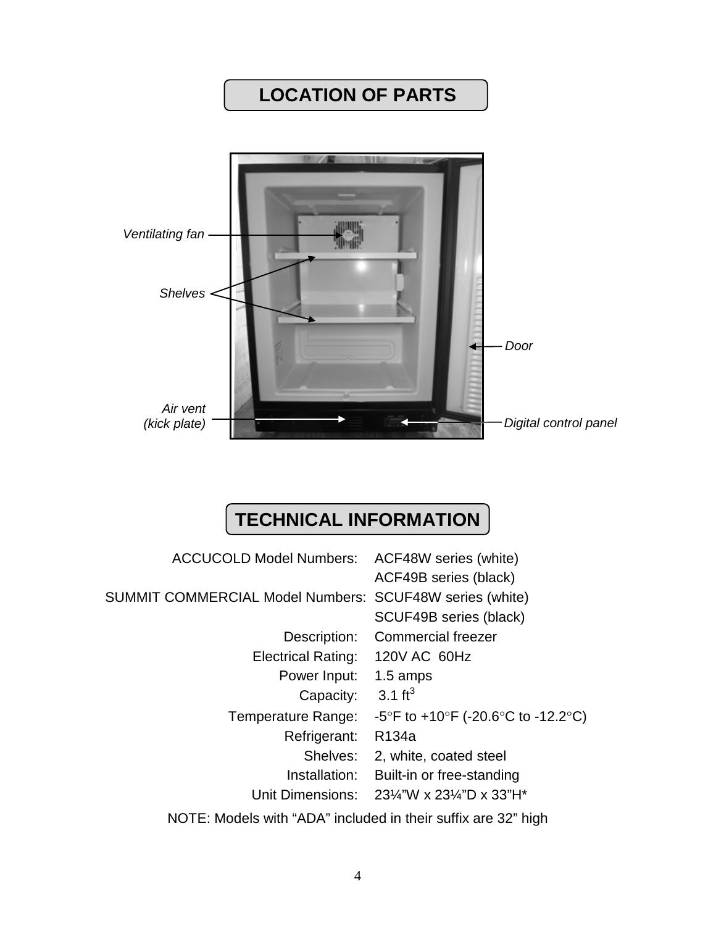# **LOCATION OF PARTS**



# **TECHNICAL INFORMATION**

| ACCUCOLD Model Numbers: ACF48W series (white)           |                                                                                 |
|---------------------------------------------------------|---------------------------------------------------------------------------------|
|                                                         | ACF49B series (black)                                                           |
| SUMMIT COMMERCIAL Model Numbers: SCUF48W series (white) |                                                                                 |
|                                                         | SCUF49B series (black)                                                          |
|                                                         | Description: Commercial freezer                                                 |
| Electrical Rating: 120V AC 60Hz                         |                                                                                 |
| Power Input:                                            | 1.5 amps                                                                        |
| Capacity: $3.1 \text{ ft}^3$                            |                                                                                 |
| Temperature Range:                                      | -5°F to +10°F (-20.6°C to -12.2°C)                                              |
| Refrigerant:                                            | R <sub>134</sub> a                                                              |
| Shelves:                                                | 2, white, coated steel                                                          |
|                                                         | Installation: Built-in or free-standing                                         |
|                                                         | Unit Dimensions: $23\frac{1}{4}$ "W x $23\frac{1}{4}$ "D x $33$ "H <sup>*</sup> |
|                                                         |                                                                                 |

NOTE: Models with "ADA" included in their suffix are 32" high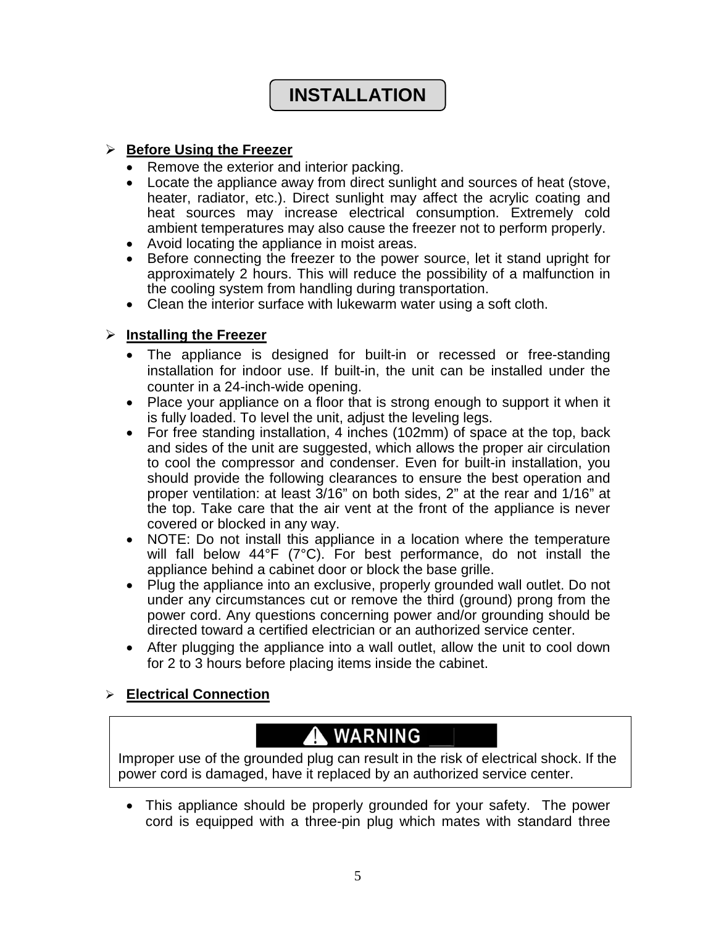# **INSTALLATION**

## **Before Using the Freezer**

- Remove the exterior and interior packing.
- Locate the appliance away from direct sunlight and sources of heat (stove, heater, radiator, etc.). Direct sunlight may affect the acrylic coating and heat sources may increase electrical consumption. Extremely cold ambient temperatures may also cause the freezer not to perform properly.
- Avoid locating the appliance in moist areas.
- Before connecting the freezer to the power source, let it stand upright for approximately 2 hours. This will reduce the possibility of a malfunction in the cooling system from handling during transportation.
- Clean the interior surface with lukewarm water using a soft cloth.

## **Installing the Freezer**

- The appliance is designed for built-in or recessed or free-standing installation for indoor use. If built-in, the unit can be installed under the counter in a 24-inch-wide opening.
- Place your appliance on a floor that is strong enough to support it when it is fully loaded. To level the unit, adjust the leveling legs.
- For free standing installation, 4 inches (102mm) of space at the top, back and sides of the unit are suggested, which allows the proper air circulation to cool the compressor and condenser. Even for built-in installation, you should provide the following clearances to ensure the best operation and proper ventilation: at least 3/16" on both sides, 2" at the rear and 1/16" at the top. Take care that the air vent at the front of the appliance is never covered or blocked in any way.
- NOTE: Do not install this appliance in a location where the temperature will fall below 44°F (7°C). For best performance, do not install the appliance behind a cabinet door or block the base grille.
- Plug the appliance into an exclusive, properly grounded wall outlet. Do not under any circumstances cut or remove the third (ground) prong from the power cord. Any questions concerning power and/or grounding should be directed toward a certified electrician or an authorized service center.
- After plugging the appliance into a wall outlet, allow the unit to cool down for 2 to 3 hours before placing items inside the cabinet.

## **Electrical Connection**

# A WARNING

Improper use of the grounded plug can result in the risk of electrical shock. If the power cord is damaged, have it replaced by an authorized service center.

• This appliance should be properly grounded for your safety. The power cord is equipped with a three-pin plug which mates with standard three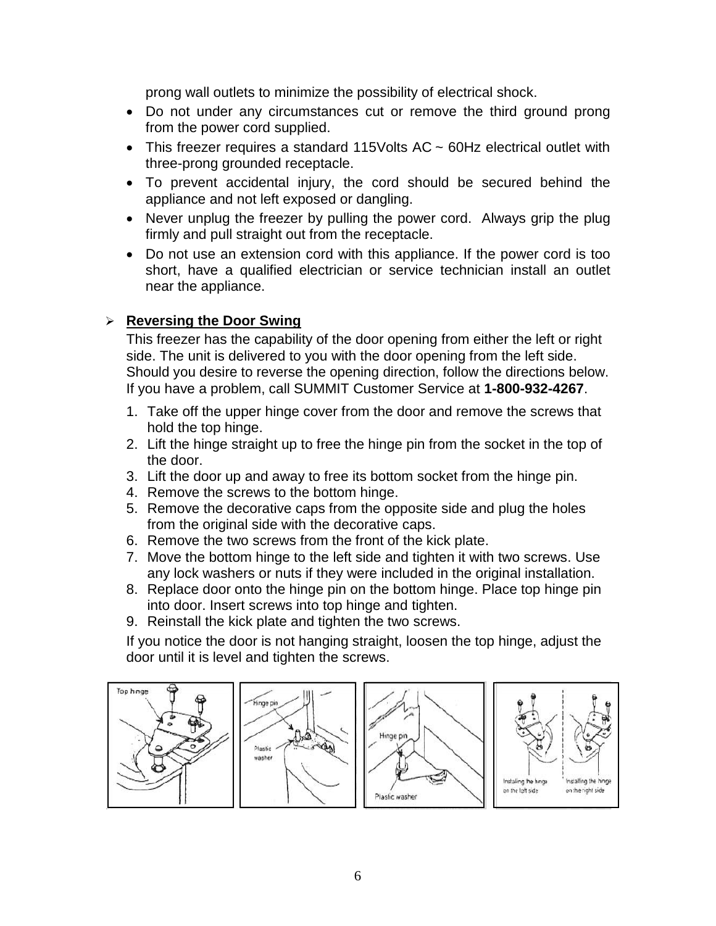prong wall outlets to minimize the possibility of electrical shock.

- Do not under any circumstances cut or remove the third ground prong from the power cord supplied.
- This freezer requires a standard 115Volts AC ~ 60Hz electrical outlet with three-prong grounded receptacle.
- To prevent accidental injury, the cord should be secured behind the appliance and not left exposed or dangling.
- Never unplug the freezer by pulling the power cord. Always grip the plug firmly and pull straight out from the receptacle.
- Do not use an extension cord with this appliance. If the power cord is too short, have a qualified electrician or service technician install an outlet near the appliance.

## **Reversing the Door Swing**

This freezer has the capability of the door opening from either the left or right side. The unit is delivered to you with the door opening from the left side. Should you desire to reverse the opening direction, follow the directions below. If you have a problem, call SUMMIT Customer Service at **1-800-932-4267**.

- 1. Take off the upper hinge cover from the door and remove the screws that hold the top hinge.
- 2. Lift the hinge straight up to free the hinge pin from the socket in the top of the door.
- 3. Lift the door up and away to free its bottom socket from the hinge pin.
- 4. Remove the screws to the bottom hinge.
- 5. Remove the decorative caps from the opposite side and plug the holes from the original side with the decorative caps.
- 6. Remove the two screws from the front of the kick plate.
- 7. Move the bottom hinge to the left side and tighten it with two screws. Use any lock washers or nuts if they were included in the original installation.
- 8. Replace door onto the hinge pin on the bottom hinge. Place top hinge pin into door. Insert screws into top hinge and tighten.
- 9. Reinstall the kick plate and tighten the two screws.

If you notice the door is not hanging straight, loosen the top hinge, adjust the door until it is level and tighten the screws.

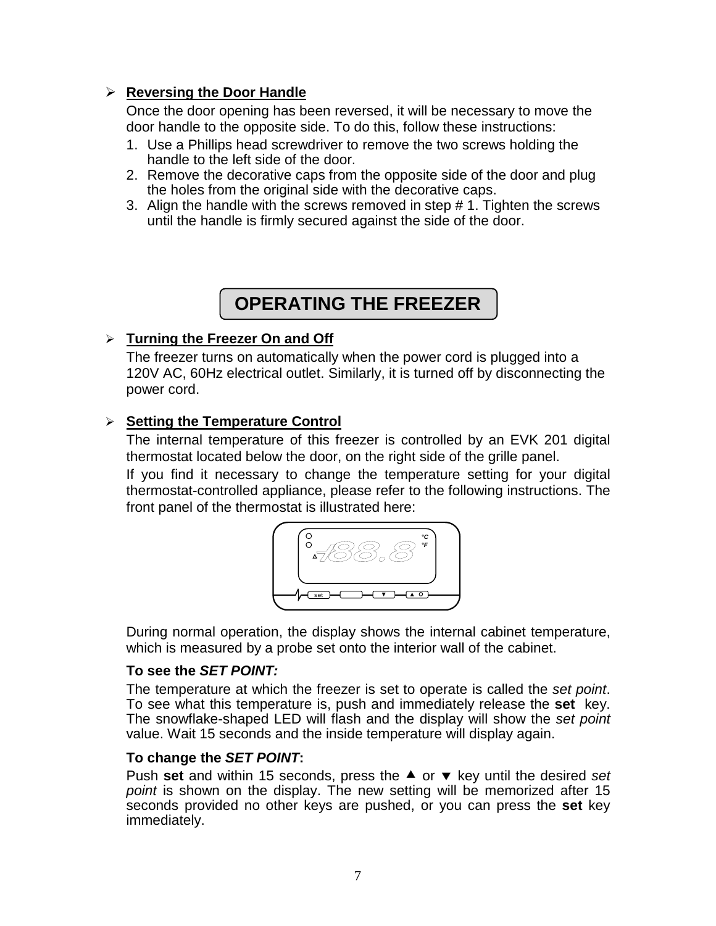## **Reversing the Door Handle**

Once the door opening has been reversed, it will be necessary to move the door handle to the opposite side. To do this, follow these instructions:

- 1. Use a Phillips head screwdriver to remove the two screws holding the handle to the left side of the door.
- 2. Remove the decorative caps from the opposite side of the door and plug the holes from the original side with the decorative caps.
- 3. Align the handle with the screws removed in step # 1. Tighten the screws until the handle is firmly secured against the side of the door.

## **OPERATING THE FREEZER**

## **Turning the Freezer On and Off**

The freezer turns on automatically when the power cord is plugged into a 120V AC, 60Hz electrical outlet. Similarly, it is turned off by disconnecting the power cord.

## **Setting the Temperature Control**

The internal temperature of this freezer is controlled by an EVK 201 digital thermostat located below the door, on the right side of the grille panel.

If you find it necessary to change the temperature setting for your digital thermostat-controlled appliance, please refer to the following instructions. The front panel of the thermostat is illustrated here:



During normal operation, the display shows the internal cabinet temperature, which is measured by a probe set onto the interior wall of the cabinet.

## **To see the** *SET POINT:*

The temperature at which the freezer is set to operate is called the *set point*. To see what this temperature is, push and immediately release the **set** key. The snowflake-shaped LED will flash and the display will show the *set point* value. Wait 15 seconds and the inside temperature will display again.

## **To change the** *SET POINT***:**

Push set and within 15 seconds, press the ▲ or ▼ key until the desired *set point* is shown on the display. The new setting will be memorized after 15 seconds provided no other keys are pushed, or you can press the **set** key immediately.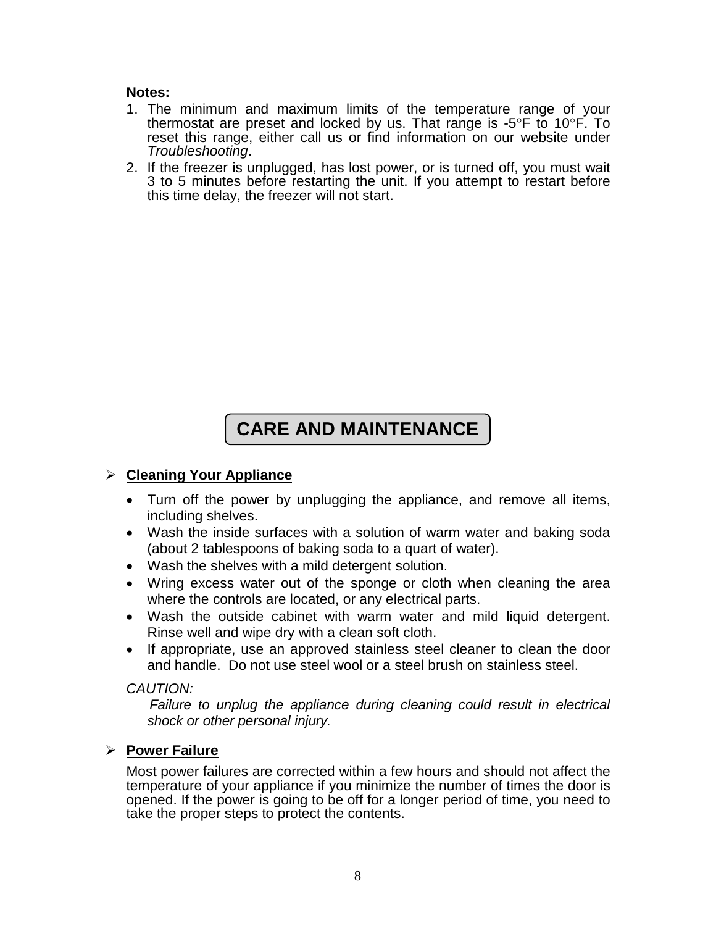## **Notes:**

- 1. The minimum and maximum limits of the temperature range of your thermostat are preset and locked by us. That range is  $-5^{\circ}F$  to  $10^{\circ}F$ . To reset this range, either call us or find information on our website under *Troubleshooting*.
- 2. If the freezer is unplugged, has lost power, or is turned off, you must wait 3 to 5 minutes before restarting the unit. If you attempt to restart before this time delay, the freezer will not start.

# **CARE AND MAINTENANCE**

## **Cleaning Your Appliance**

- Turn off the power by unplugging the appliance, and remove all items, including shelves.
- Wash the inside surfaces with a solution of warm water and baking soda (about 2 tablespoons of baking soda to a quart of water).
- Wash the shelves with a mild detergent solution.
- Wring excess water out of the sponge or cloth when cleaning the area where the controls are located, or any electrical parts.
- Wash the outside cabinet with warm water and mild liquid detergent. Rinse well and wipe dry with a clean soft cloth.
- If appropriate, use an approved stainless steel cleaner to clean the door and handle. Do not use steel wool or a steel brush on stainless steel.

## *CAUTION:*

Failure to unplug the appliance during cleaning could result in electrical *shock or other personal injury.*

## **Power Failure**

Most power failures are corrected within a few hours and should not affect the temperature of your appliance if you minimize the number of times the door is opened. If the power is going to be off for a longer period of time, you need to take the proper steps to protect the contents.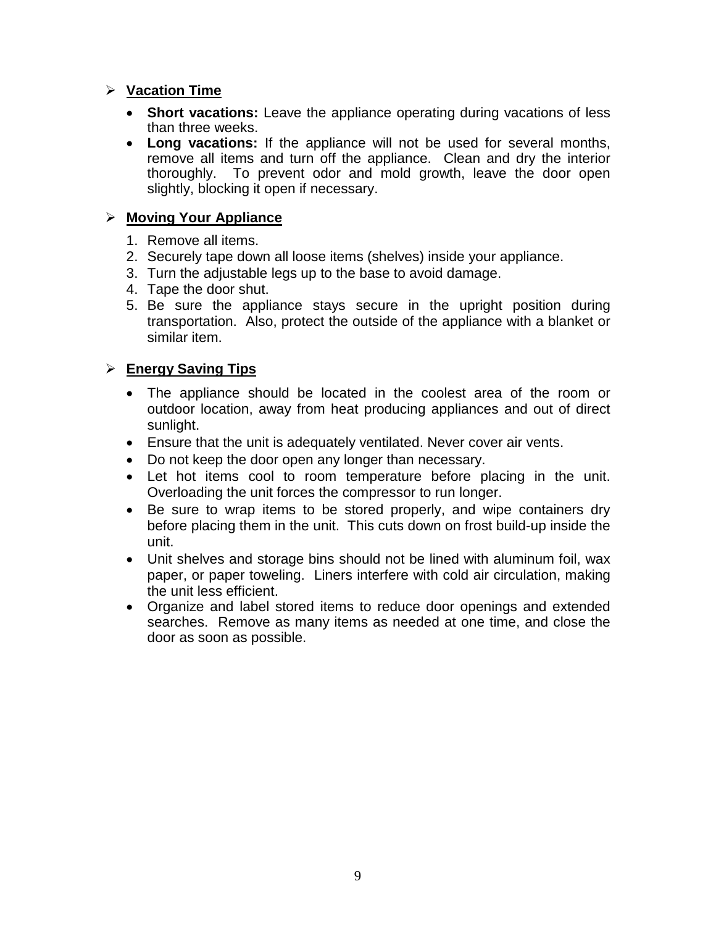## **Vacation Time**

- **Short vacations:** Leave the appliance operating during vacations of less than three weeks.
- **Long vacations:** If the appliance will not be used for several months, remove all items and turn off the appliance. Clean and dry the interior thoroughly. To prevent odor and mold growth, leave the door open slightly, blocking it open if necessary.

## **Moving Your Appliance**

- 1. Remove all items.
- 2. Securely tape down all loose items (shelves) inside your appliance.
- 3. Turn the adjustable legs up to the base to avoid damage.
- 4. Tape the door shut.
- 5. Be sure the appliance stays secure in the upright position during transportation. Also, protect the outside of the appliance with a blanket or similar item.

## **Energy Saving Tips**

- The appliance should be located in the coolest area of the room or outdoor location, away from heat producing appliances and out of direct sunlight.
- Ensure that the unit is adequately ventilated. Never cover air vents.
- Do not keep the door open any longer than necessary.
- Let hot items cool to room temperature before placing in the unit. Overloading the unit forces the compressor to run longer.
- Be sure to wrap items to be stored properly, and wipe containers dry before placing them in the unit. This cuts down on frost build-up inside the unit.
- Unit shelves and storage bins should not be lined with aluminum foil, wax paper, or paper toweling. Liners interfere with cold air circulation, making the unit less efficient.
- Organize and label stored items to reduce door openings and extended searches. Remove as many items as needed at one time, and close the door as soon as possible.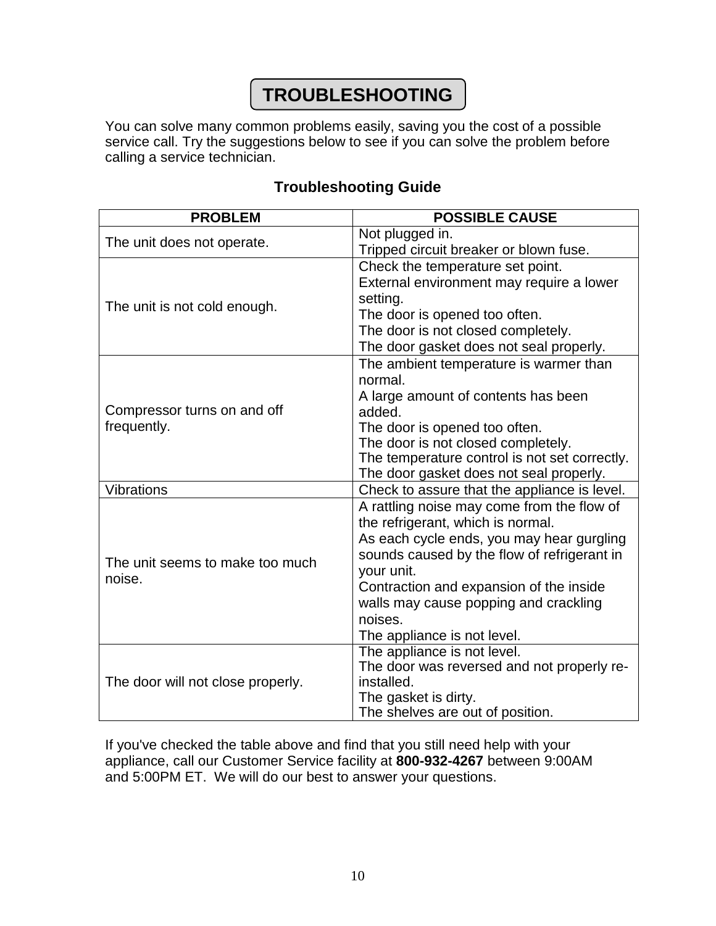# **TROUBLESHOOTING**

You can solve many common problems easily, saving you the cost of a possible service call. Try the suggestions below to see if you can solve the problem before calling a service technician.

### **PROBLEM POSSIBLE CAUSE** The unit does not operate. Tripped circuit breaker or blown fuse. The unit is not cold enough. Check the temperature set point. External environment may require a lower setting. The door is opened too often. The door is not closed completely. The door gasket does not seal properly. Compressor turns on and off frequently. The ambient temperature is warmer than normal. A large amount of contents has been added. The door is opened too often. The door is not closed completely. The temperature control is not set correctly. The door gasket does not seal properly. Vibrations Check to assure that the appliance is level. The unit seems to make too much noise. A rattling noise may come from the flow of the refrigerant, which is normal. As each cycle ends, you may hear gurgling sounds caused by the flow of refrigerant in your unit. Contraction and expansion of the inside walls may cause popping and crackling noises. The appliance is not level. The door will not close properly. The appliance is not level. The door was reversed and not properly reinstalled. The gasket is dirty. The shelves are out of position.

## **Troubleshooting Guide**

If you've checked the table above and find that you still need help with your appliance, call our Customer Service facility at **800-932-4267** between 9:00AM and 5:00PM ET. We will do our best to answer your questions.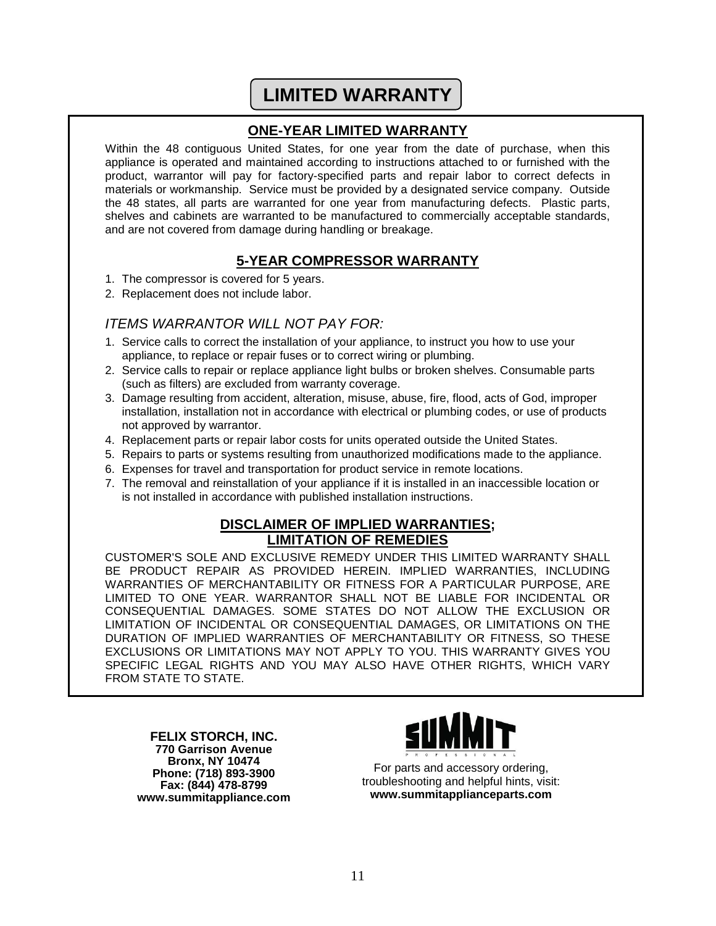# **LIMITED WARRANTY**

## **ONE-YEAR LIMITED WARRANTY**

Within the 48 contiguous United States, for one year from the date of purchase, when this appliance is operated and maintained according to instructions attached to or furnished with the product, warrantor will pay for factory-specified parts and repair labor to correct defects in materials or workmanship. Service must be provided by a designated service company. Outside the 48 states, all parts are warranted for one year from manufacturing defects. Plastic parts, shelves and cabinets are warranted to be manufactured to commercially acceptable standards, and are not covered from damage during handling or breakage.

## **5-YEAR COMPRESSOR WARRANTY**

- 1. The compressor is covered for 5 years.
- 2. Replacement does not include labor.

## *ITEMS WARRANTOR WILL NOT PAY FOR:*

- 1. Service calls to correct the installation of your appliance, to instruct you how to use your appliance, to replace or repair fuses or to correct wiring or plumbing.
- 2. Service calls to repair or replace appliance light bulbs or broken shelves. Consumable parts (such as filters) are excluded from warranty coverage.
- 3. Damage resulting from accident, alteration, misuse, abuse, fire, flood, acts of God, improper installation, installation not in accordance with electrical or plumbing codes, or use of products not approved by warrantor.
- 4. Replacement parts or repair labor costs for units operated outside the United States.
- 5. Repairs to parts or systems resulting from unauthorized modifications made to the appliance.
- 6. Expenses for travel and transportation for product service in remote locations.
- 7. The removal and reinstallation of your appliance if it is installed in an inaccessible location or is not installed in accordance with published installation instructions.

## **DISCLAIMER OF IMPLIED WARRANTIES; LIMITATION OF REMEDIES**

CUSTOMER'S SOLE AND EXCLUSIVE REMEDY UNDER THIS LIMITED WARRANTY SHALL BE PRODUCT REPAIR AS PROVIDED HEREIN. IMPLIED WARRANTIES, INCLUDING WARRANTIES OF MERCHANTABILITY OR FITNESS FOR A PARTICULAR PURPOSE, ARE LIMITED TO ONE YEAR. WARRANTOR SHALL NOT BE LIABLE FOR INCIDENTAL OR CONSEQUENTIAL DAMAGES. SOME STATES DO NOT ALLOW THE EXCLUSION OR LIMITATION OF INCIDENTAL OR CONSEQUENTIAL DAMAGES, OR LIMITATIONS ON THE DURATION OF IMPLIED WARRANTIES OF MERCHANTABILITY OR FITNESS, SO THESE EXCLUSIONS OR LIMITATIONS MAY NOT APPLY TO YOU. THIS WARRANTY GIVES YOU SPECIFIC LEGAL RIGHTS AND YOU MAY ALSO HAVE OTHER RIGHTS, WHICH VARY FROM STATE TO STATE.

**FELIX STORCH, INC. 770 Garrison Avenue Bronx, NY 10474 Phone: (718) 893-3900 Fax: (844) 478-8799 www.summitappliance.com**



For parts and accessory ordering, troubleshooting and helpful hints, visit: **www.summitapplianceparts.com**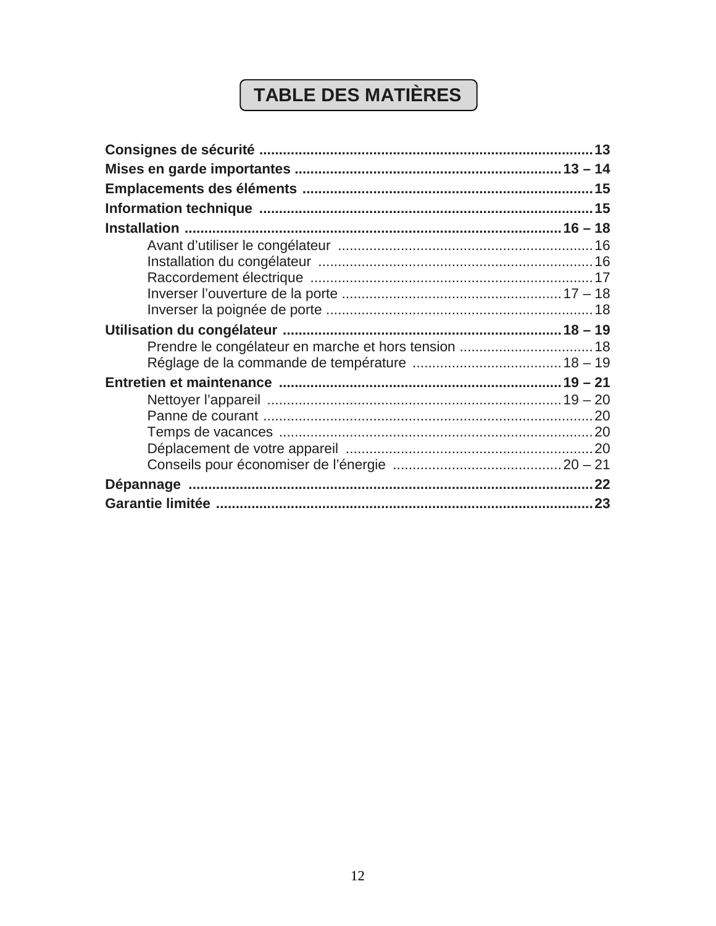# TABLE DES MATIÈRES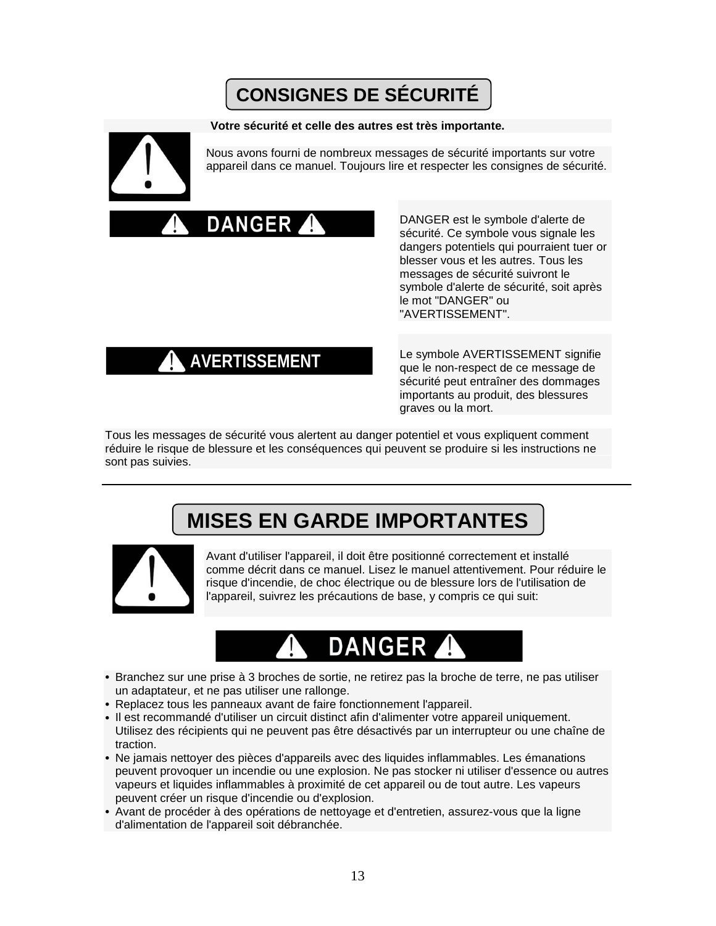# **CONSIGNES DE SÉCURITÉ**

### **Votre sécurité et celle des autres est très importante.**



Nous avons fourni de nombreux messages de sécurité importants sur votre appareil dans ce manuel. Toujours lire et respecter les consignes de sécurité.



DANGER est le symbole d'alerte de sécurité. Ce symbole vous signale les dangers potentiels qui pourraient tuer or blesser vous et les autres. Tous les messages de sécurité suivront le symbole d'alerte de sécurité, soit après le mot "DANGER" ou "AVERTISSEMENT".

**AVERTISSEMENT**

Le symbole AVERTISSEMENT signifie que le non-respect de ce message de sécurité peut entraîner des dommages importants au produit, des blessures graves ou la mort.

Tous les messages de sécurité vous alertent au danger potentiel et vous expliquent comment réduire le risque de blessure et les conséquences qui peuvent se produire si les instructions ne sont pas suivies.

# **MISES EN GARDE IMPORTANTES**



Avant d'utiliser l'appareil, il doit être positionné correctement et installé comme décrit dans ce manuel. Lisez le manuel attentivement. Pour réduire le risque d'incendie, de choc électrique ou de blessure lors de l'utilisation de l'appareil, suivrez les précautions de base, y compris ce qui suit:



- Branchez sur une prise à 3 broches de sortie, ne retirez pas la broche de terre, ne pas utiliser un adaptateur, et ne pas utiliser une rallonge.
- Replacez tous les panneaux avant de faire fonctionnement l'appareil.
- Il est recommandé d'utiliser un circuit distinct afin d'alimenter votre appareil uniquement. Utilisez des récipients qui ne peuvent pas être désactivés par un interrupteur ou une chaîne de traction.
- Ne jamais nettoyer des pièces d'appareils avec des liquides inflammables. Les émanations peuvent provoquer un incendie ou une explosion. Ne pas stocker ni utiliser d'essence ou autres vapeurs et liquides inflammables à proximité de cet appareil ou de tout autre. Les vapeurs peuvent créer un risque d'incendie ou d'explosion.
- Avant de procéder à des opérations de nettoyage et d'entretien, assurez-vous que la ligne d'alimentation de l'appareil soit débranchée.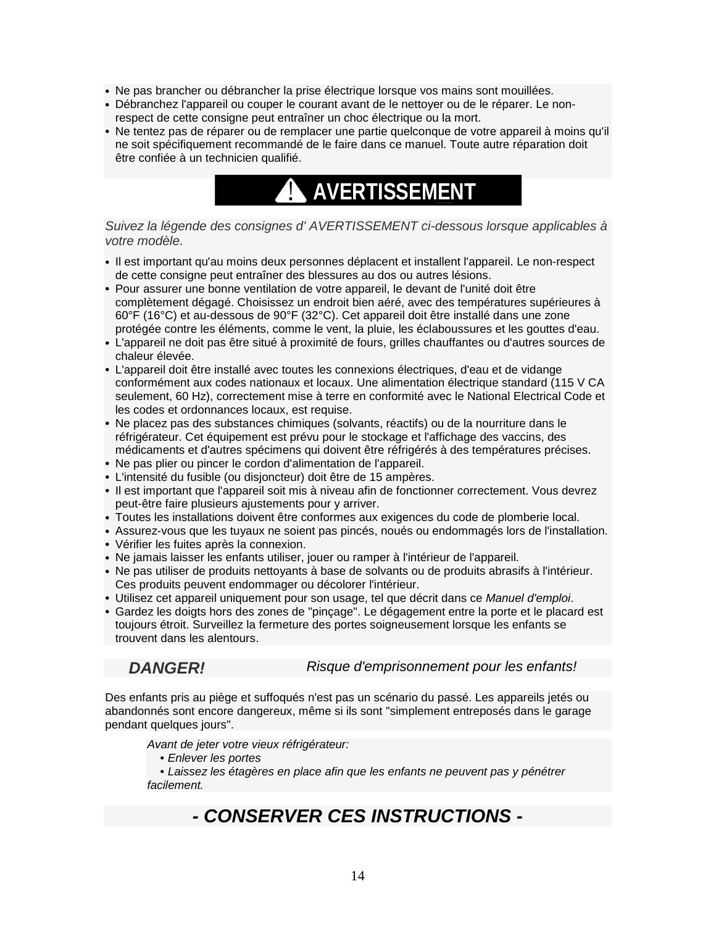- Ne pas brancher ou débrancher la prise électrique lorsque vos mains sont mouillées.
- Débranchez l'appareil ou couper le courant avant de le nettoyer ou de le réparer. Le nonrespect de cette consigne peut entraîner un choc électrique ou la mort.
- Ne tentez pas de réparer ou de remplacer une partie quelconque de votre appareil à moins qu'il ne soit spécifiquement recommandé de le faire dans ce manuel. Toute autre réparation doit être confiée à un technicien qualifié.



### *Suivez la légende des consignes d' AVERTISSEMENT ci-dessous lorsque applicables à votre modèle*.

- Il est important qu'au moins deux personnes déplacent et installent l'appareil. Le non-respect de cette consigne peut entraîner des blessures au dos ou autres lésions.
- Pour assurer une bonne ventilation de votre appareil, le devant de l'unité doit être complètement dégagé. Choisissez un endroit bien aéré, avec des températures supérieures à 60°F (16°C) et au-dessous de 90°F (32°C). Cet appareil doit être installé dans une zone protégée contre les éléments, comme le vent, la pluie, les éclaboussures et les gouttes d'eau.
- L'appareil ne doit pas être situé à proximité de fours, grilles chauffantes ou d'autres sources de chaleur élevée.
- L'appareil doit être installé avec toutes les connexions électriques, d'eau et de vidange conformément aux codes nationaux et locaux. Une alimentation électrique standard (115 V CA seulement, 60 Hz), correctement mise à terre en conformité avec le National Electrical Code et les codes et ordonnances locaux, est requise.
- Ne placez pas des substances chimiques (solvants, réactifs) ou de la nourriture dans le réfrigérateur. Cet équipement est prévu pour le stockage et l'affichage des vaccins, des médicaments et d'autres spécimens qui doivent être réfrigérés à des températures précises.
- Ne pas plier ou pincer le cordon d'alimentation de l'appareil.
- L'intensité du fusible (ou disjoncteur) doit être de 15 ampères.
- Il est important que l'appareil soit mis à niveau afin de fonctionner correctement. Vous devrez peut-être faire plusieurs ajustements pour y arriver.
- Toutes les installations doivent être conformes aux exigences du code de plomberie local.
- Assurez-vous que les tuyaux ne soient pas pincés, noués ou endommagés lors de l'installation. • Vérifier les fuites après la connexion.
- Ne jamais laisser les enfants utiliser, jouer ou ramper à l'intérieur de l'appareil.
- Ne pas utiliser de produits nettoyants à base de solvants ou de produits abrasifs à l'intérieur. Ces produits peuvent endommager ou décolorer l'intérieur.
- Utilisez cet appareil uniquement pour son usage, tel que décrit dans ce *Manuel d'emploi*.
- Gardez les doigts hors des zones de "pinçage". Le dégagement entre la porte et le placard est toujours étroit. Surveillez la fermeture des portes soigneusement lorsque les enfants se trouvent dans les alentours.

### *DANGER! Risque d'emprisonnement pour les enfants!*

Des enfants pris au piège et suffoqués n'est pas un scénario du passé. Les appareils jetés ou abandonnés sont encore dangereux, même si ils sont "simplement entreposés dans le garage pendant quelques jours".

*Avant de jeter votre vieux réfrigérateur:*

 *• Enlever les portes*

 *• Laissez les étagères en place afin que les enfants ne peuvent pas y pénétrer facilement.*

## *- CONSERVER CES INSTRUCTIONS -*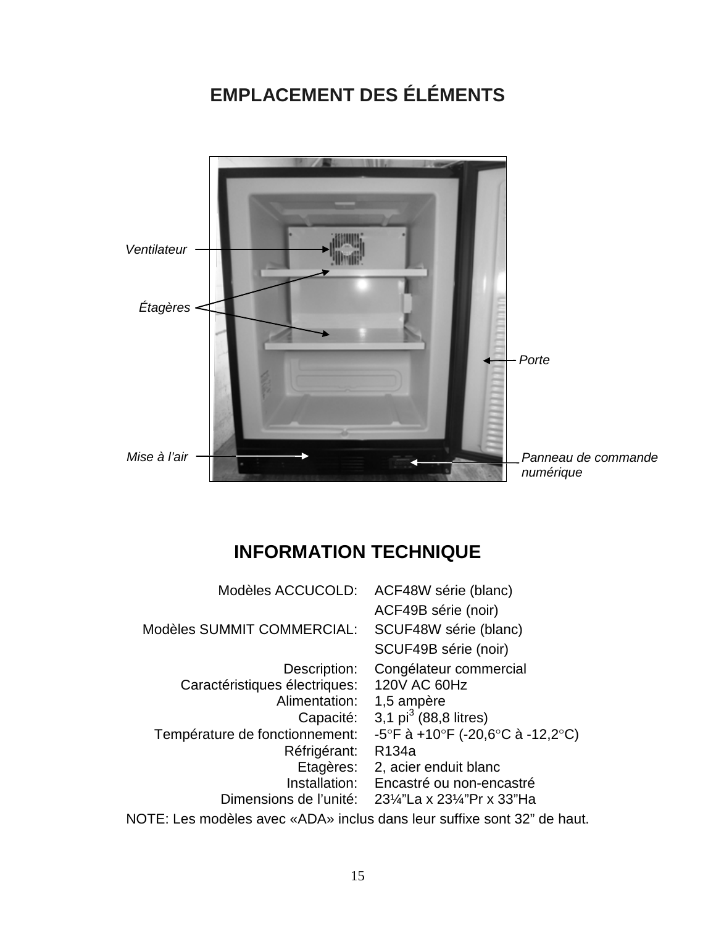# **EMPLACEMENT DES ÉLÉMENTS**



# **INFORMATION TECHNIQUE**

| Modèles ACCUCOLD:                                                       | ACF48W série (blanc)             |  |
|-------------------------------------------------------------------------|----------------------------------|--|
|                                                                         | ACF49B série (noir)              |  |
| Modèles SUMMIT COMMERCIAL:                                              | SCUF48W série (blanc)            |  |
|                                                                         | SCUF49B série (noir)             |  |
| Description:                                                            | Congélateur commercial           |  |
| Caractéristiques électriques:                                           | 120V AC 60Hz                     |  |
| Alimentation:                                                           | 1,5 ampère                       |  |
| Capacité:                                                               | 3,1 $pi^3$ (88,8 litres)         |  |
| Température de fonctionnement:                                          | -5°F à +10°F (-20,6°C à -12,2°C) |  |
| Réfrigérant:                                                            | R134a                            |  |
| Etagères:                                                               | 2, acier enduit blanc            |  |
| Installation:                                                           | Encastré ou non-encastré         |  |
| Dimensions de l'unité:                                                  | 23¼"La x 23¼"Pr x 33"Ha          |  |
| NOTE: Les modèles avec «ADA» inclus dans leur suffixe sont 32" de haut. |                                  |  |
|                                                                         |                                  |  |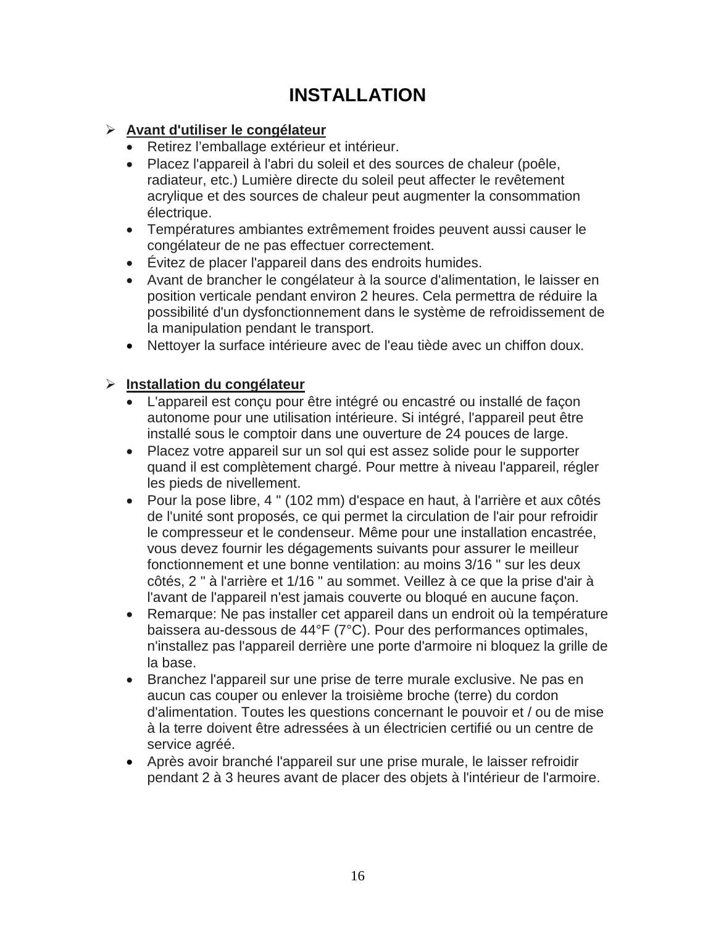# **INSTALLATION**

## **Avant d'utiliser le congélateur**

- Retirez l'emballage extérieur et intérieur.
- Placez l'appareil à l'abri du soleil et des sources de chaleur (poêle, radiateur, etc.) Lumière directe du soleil peut affecter le revêtement acrylique et des sources de chaleur peut augmenter la consommation électrique.
- Températures ambiantes extrêmement froides peuvent aussi causer le congélateur de ne pas effectuer correctement.
- Évitez de placer l'appareil dans des endroits humides.
- Avant de brancher le congélateur à la source d'alimentation, le laisser en position verticale pendant environ 2 heures. Cela permettra de réduire la possibilité d'un dysfonctionnement dans le système de refroidissement de la manipulation pendant le transport.
- Nettoyer la surface intérieure avec de l'eau tiède avec un chiffon doux.

## **Installation du congélateur**

- L'appareil est conçu pour être intégré ou encastré ou installé de façon autonome pour une utilisation intérieure. Si intégré, l'appareil peut être installé sous le comptoir dans une ouverture de 24 pouces de large.
- Placez votre appareil sur un sol qui est assez solide pour le supporter quand il est complètement chargé. Pour mettre à niveau l'appareil, régler les pieds de nivellement.
- Pour la pose libre, 4 " (102 mm) d'espace en haut, à l'arrière et aux côtés de l'unité sont proposés, ce qui permet la circulation de l'air pour refroidir le compresseur et le condenseur. Même pour une installation encastrée, vous devez fournir les dégagements suivants pour assurer le meilleur fonctionnement et une bonne ventilation: au moins 3/16 " sur les deux côtés, 2 " à l'arrière et 1/16 " au sommet. Veillez à ce que la prise d'air à l'avant de l'appareil n'est jamais couverte ou bloqué en aucune façon.
- Remarque: Ne pas installer cet appareil dans un endroit où la température baissera au-dessous de 44°F (7°C). Pour des performances optimales, n'installez pas l'appareil derrière une porte d'armoire ni bloquez la grille de la base.
- Branchez l'appareil sur une prise de terre murale exclusive. Ne pas en aucun cas couper ou enlever la troisième broche (terre) du cordon d'alimentation. Toutes les questions concernant le pouvoir et / ou de mise à la terre doivent être adressées à un électricien certifié ou un centre de service agréé.
- Après avoir branché l'appareil sur une prise murale, le laisser refroidir pendant 2 à 3 heures avant de placer des objets à l'intérieur de l'armoire.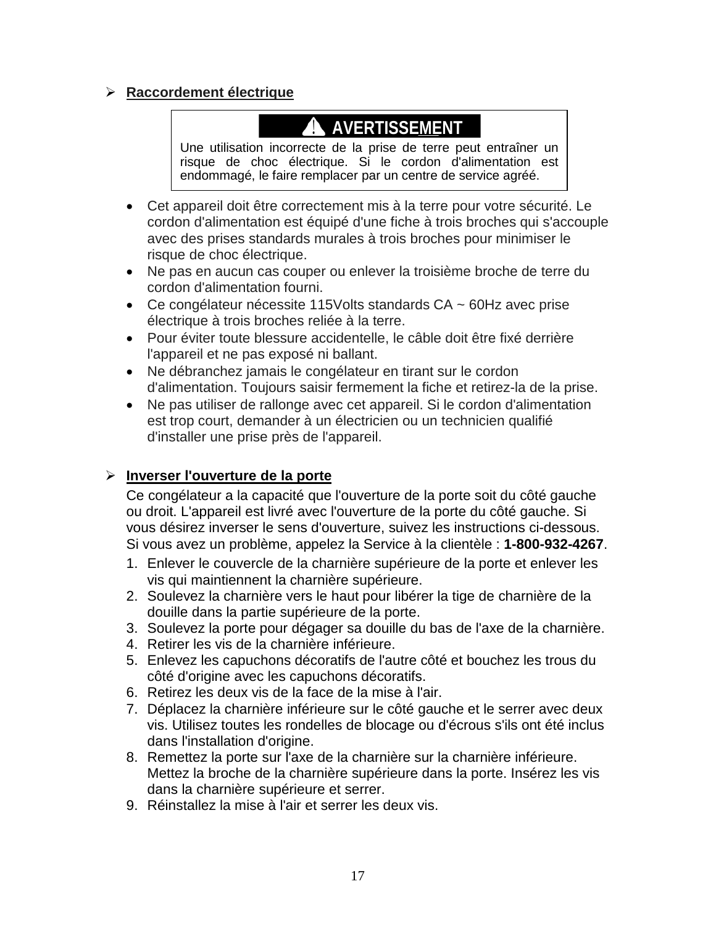## **Raccordement électrique**

# **A** AVERTISSEMENT

Une utilisation incorrecte de la prise de terre peut entraîner un risque de choc électrique. Si le cordon d'alimentation est endommagé, le faire remplacer par un centre de service agréé.

- Cet appareil doit être correctement mis à la terre pour votre sécurité. Le cordon d'alimentation est équipé d'une fiche à trois broches qui s'accouple avec des prises standards murales à trois broches pour minimiser le risque de choc électrique.
- Ne pas en aucun cas couper ou enlever la troisième broche de terre du cordon d'alimentation fourni.
- Ce congélateur nécessite 115Volts standards CA ~ 60Hz avec prise électrique à trois broches reliée à la terre.
- Pour éviter toute blessure accidentelle, le câble doit être fixé derrière l'appareil et ne pas exposé ni ballant.
- Ne débranchez jamais le congélateur en tirant sur le cordon d'alimentation. Toujours saisir fermement la fiche et retirez-la de la prise.
- Ne pas utiliser de rallonge avec cet appareil. Si le cordon d'alimentation est trop court, demander à un électricien ou un technicien qualifié d'installer une prise près de l'appareil.

## **Inverser l'ouverture de la porte**

Ce congélateur a la capacité que l'ouverture de la porte soit du côté gauche ou droit. L'appareil est livré avec l'ouverture de la porte du côté gauche. Si vous désirez inverser le sens d'ouverture, suivez les instructions ci-dessous. Si vous avez un problème, appelez la Service à la clientèle : **1-800-932-4267**.

- 1. Enlever le couvercle de la charnière supérieure de la porte et enlever les vis qui maintiennent la charnière supérieure.
- 2. Soulevez la charnière vers le haut pour libérer la tige de charnière de la douille dans la partie supérieure de la porte.
- 3. Soulevez la porte pour dégager sa douille du bas de l'axe de la charnière.
- 4. Retirer les vis de la charnière inférieure.
- 5. Enlevez les capuchons décoratifs de l'autre côté et bouchez les trous du côté d'origine avec les capuchons décoratifs.
- 6. Retirez les deux vis de la face de la mise à l'air.
- 7. Déplacez la charnière inférieure sur le côté gauche et le serrer avec deux vis. Utilisez toutes les rondelles de blocage ou d'écrous s'ils ont été inclus dans l'installation d'origine.
- 8. Remettez la porte sur l'axe de la charnière sur la charnière inférieure. Mettez la broche de la charnière supérieure dans la porte. Insérez les vis dans la charnière supérieure et serrer.
- 9. Réinstallez la mise à l'air et serrer les deux vis.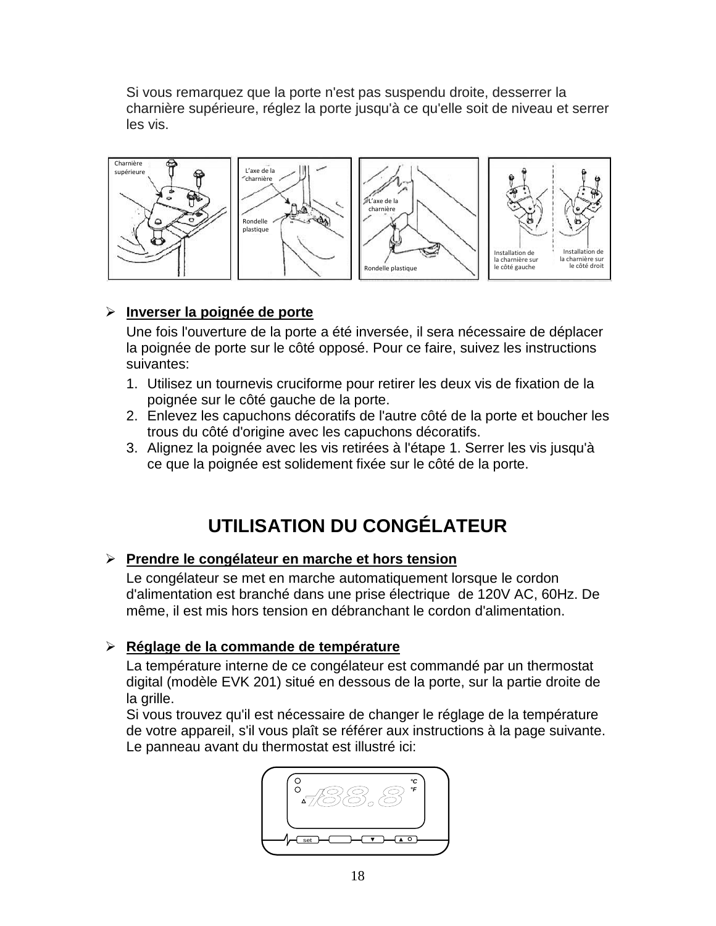Si vous remarquez que la porte n'est pas suspendu droite, desserrer la charnière supérieure, réglez la porte jusqu'à ce qu'elle soit de niveau et serrer les vis.



## **Inverser la poignée de porte**

Une fois l'ouverture de la porte a été inversée, il sera nécessaire de déplacer la poignée de porte sur le côté opposé. Pour ce faire, suivez les instructions suivantes:

- 1. Utilisez un tournevis cruciforme pour retirer les deux vis de fixation de la poignée sur le côté gauche de la porte.
- 2. Enlevez les capuchons décoratifs de l'autre côté de la porte et boucher les trous du côté d'origine avec les capuchons décoratifs.
- 3. Alignez la poignée avec les vis retirées à l'étape 1. Serrer les vis jusqu'à ce que la poignée est solidement fixée sur le côté de la porte.

# **UTILISATION DU CONGÉLATEUR**

## **Prendre le congélateur en marche et hors tension**

Le congélateur se met en marche automatiquement lorsque le cordon d'alimentation est branché dans une prise électrique de 120V AC, 60Hz. De même, il est mis hors tension en débranchant le cordon d'alimentation.

## **Réglage de la commande de température**

La température interne de ce congélateur est commandé par un thermostat digital (modèle EVK 201) situé en dessous de la porte, sur la partie droite de la grille.

Si vous trouvez qu'il est nécessaire de changer le réglage de la température de votre appareil, s'il vous plaît se référer aux instructions à la page suivante. Le panneau avant du thermostat est illustré ici:

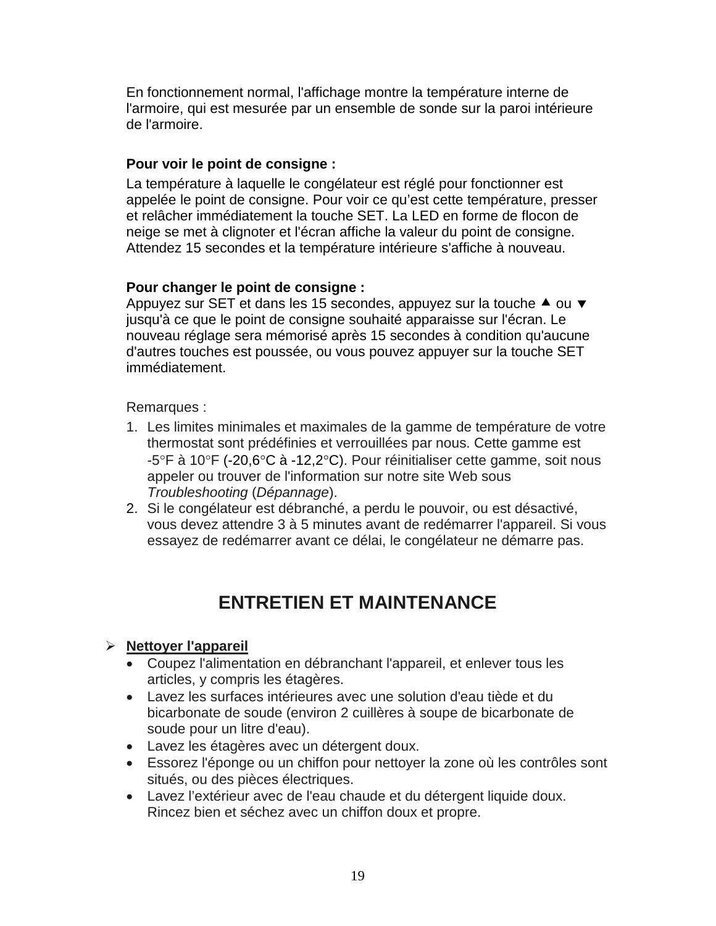En fonctionnement normal, l'affichage montre la température interne de l'armoire, qui est mesurée par un ensemble de sonde sur la paroi intérieure de l'armoire.

## **Pour voir le point de consigne :**

La température à laquelle le congélateur est réglé pour fonctionner est appelée le point de consigne. Pour voir ce qu'est cette température, presser et relâcher immédiatement la touche SET. La LED en forme de flocon de neige se met à clignoter et l'écran affiche la valeur du point de consigne. Attendez 15 secondes et la température intérieure s'affiche à nouveau.

## **Pour changer le point de consigne :**

Appuyez sur SET et dans les 15 secondes, appuyez sur la touche  $\triangle$  ou  $\blacktriangledown$ jusqu'à ce que le point de consigne souhaité apparaisse sur l'écran. Le nouveau réglage sera mémorisé après 15 secondes à condition qu'aucune d'autres touches est poussée, ou vous pouvez appuyer sur la touche SET immédiatement.

Remarques :

- 1. Les limites minimales et maximales de la gamme de température de votre thermostat sont prédéfinies et verrouillées par nous. Cette gamme est -5°F à 10°F (-20,6°C à -12,2°C). Pour réinitialiser cette gamme, soit nous appeler ou trouver de l'information sur notre site Web sous *Troubleshooting* (*Dépannage*).
- 2. Si le congélateur est débranché, a perdu le pouvoir, ou est désactivé, vous devez attendre 3 à 5 minutes avant de redémarrer l'appareil. Si vous essayez de redémarrer avant ce délai, le congélateur ne démarre pas.

## **ENTRETIEN ET MAINTENANCE**

## **Nettoyer l'appareil**

- Coupez l'alimentation en débranchant l'appareil, et enlever tous les articles, y compris les étagères.
- Lavez les surfaces intérieures avec une solution d'eau tiède et du bicarbonate de soude (environ 2 cuillères à soupe de bicarbonate de soude pour un litre d'eau).
- Lavez les étagères avec un détergent doux.
- Essorez l'éponge ou un chiffon pour nettoyer la zone où les contrôles sont situés, ou des pièces électriques.
- Lavez l'extérieur avec de l'eau chaude et du détergent liquide doux. Rincez bien et séchez avec un chiffon doux et propre.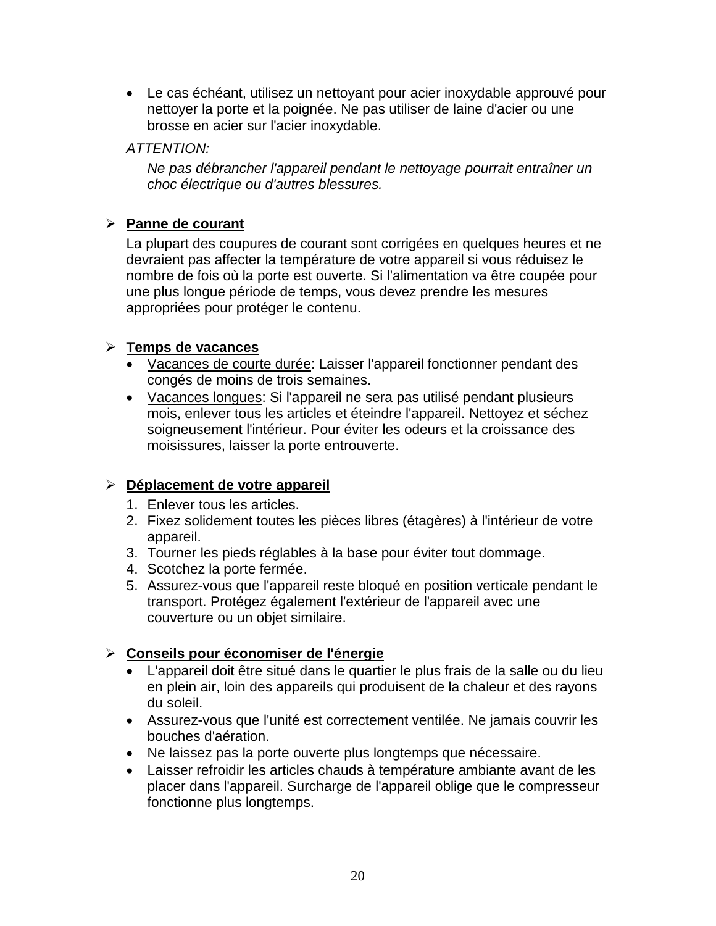• Le cas échéant, utilisez un nettoyant pour acier inoxydable approuvé pour nettoyer la porte et la poignée. Ne pas utiliser de laine d'acier ou une brosse en acier sur l'acier inoxydable.

## *ATTENTION:*

*Ne pas débrancher l'appareil pendant le nettoyage pourrait entraîner un choc électrique ou d'autres blessures.*

## **Panne de courant**

La plupart des coupures de courant sont corrigées en quelques heures et ne devraient pas affecter la température de votre appareil si vous réduisez le nombre de fois où la porte est ouverte. Si l'alimentation va être coupée pour une plus longue période de temps, vous devez prendre les mesures appropriées pour protéger le contenu.

## **Temps de vacances**

- Vacances de courte durée: Laisser l'appareil fonctionner pendant des congés de moins de trois semaines.
- Vacances longues: Si l'appareil ne sera pas utilisé pendant plusieurs mois, enlever tous les articles et éteindre l'appareil. Nettoyez et séchez soigneusement l'intérieur. Pour éviter les odeurs et la croissance des moisissures, laisser la porte entrouverte.

## **Déplacement de votre appareil**

- 1. Enlever tous les articles.
- 2. Fixez solidement toutes les pièces libres (étagères) à l'intérieur de votre appareil.
- 3. Tourner les pieds réglables à la base pour éviter tout dommage.
- 4. Scotchez la porte fermée.
- 5. Assurez-vous que l'appareil reste bloqué en position verticale pendant le transport. Protégez également l'extérieur de l'appareil avec une couverture ou un objet similaire.

## **Conseils pour économiser de l'énergie**

- L'appareil doit être situé dans le quartier le plus frais de la salle ou du lieu en plein air, loin des appareils qui produisent de la chaleur et des rayons du soleil.
- Assurez-vous que l'unité est correctement ventilée. Ne jamais couvrir les bouches d'aération.
- Ne laissez pas la porte ouverte plus longtemps que nécessaire.
- Laisser refroidir les articles chauds à température ambiante avant de les placer dans l'appareil. Surcharge de l'appareil oblige que le compresseur fonctionne plus longtemps.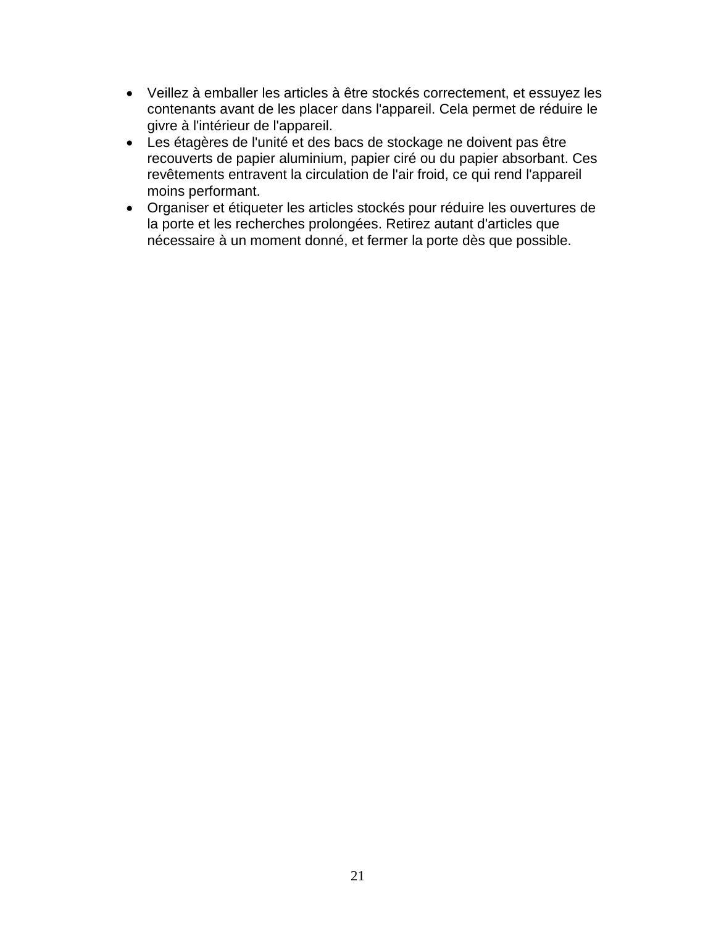- Veillez à emballer les articles à être stockés correctement, et essuyez les contenants avant de les placer dans l'appareil. Cela permet de réduire le givre à l'intérieur de l'appareil.
- Les étagères de l'unité et des bacs de stockage ne doivent pas être recouverts de papier aluminium, papier ciré ou du papier absorbant. Ces revêtements entravent la circulation de l'air froid, ce qui rend l'appareil moins performant.
- Organiser et étiqueter les articles stockés pour réduire les ouvertures de la porte et les recherches prolongées. Retirez autant d'articles que nécessaire à un moment donné, et fermer la porte dès que possible.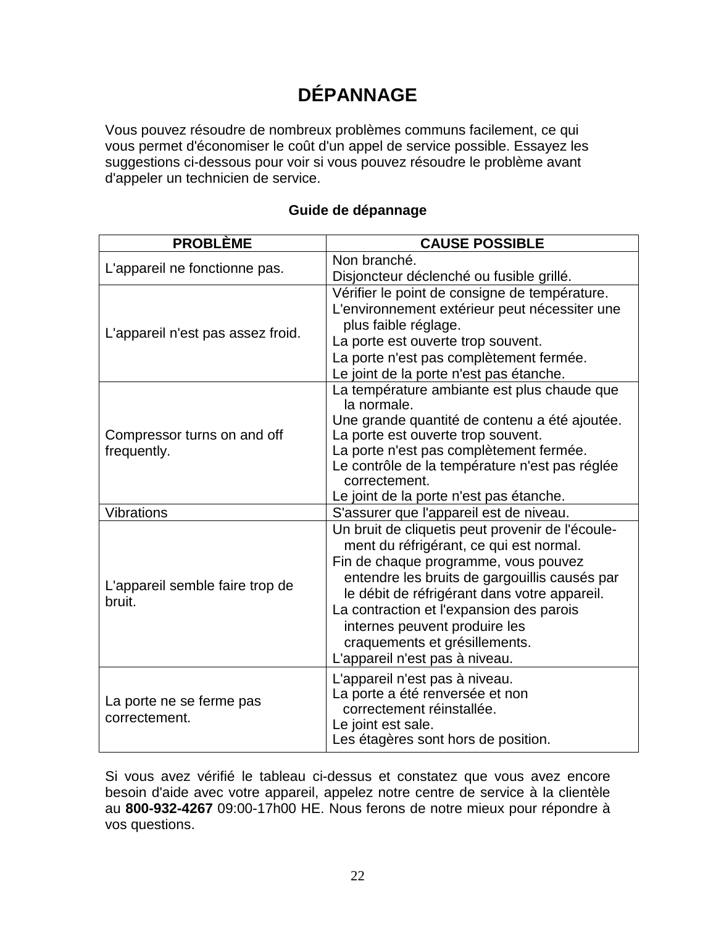# **DÉPANNAGE**

Vous pouvez résoudre de nombreux problèmes communs facilement, ce qui vous permet d'économiser le coût d'un appel de service possible. Essayez les suggestions ci-dessous pour voir si vous pouvez résoudre le problème avant d'appeler un technicien de service.

| <b>PROBLÈME</b>                            | <b>CAUSE POSSIBLE</b>                                      |
|--------------------------------------------|------------------------------------------------------------|
| L'appareil ne fonctionne pas.              | Non branché.                                               |
|                                            | Disjoncteur déclenché ou fusible grillé.                   |
|                                            | Vérifier le point de consigne de température.              |
|                                            | L'environnement extérieur peut nécessiter une              |
| L'appareil n'est pas assez froid.          | plus faible réglage.                                       |
|                                            | La porte est ouverte trop souvent.                         |
|                                            | La porte n'est pas complètement fermée.                    |
|                                            | Le joint de la porte n'est pas étanche.                    |
| Compressor turns on and off<br>frequently. | La température ambiante est plus chaude que<br>la normale. |
|                                            | Une grande quantité de contenu a été ajoutée.              |
|                                            | La porte est ouverte trop souvent.                         |
|                                            | La porte n'est pas complètement fermée.                    |
|                                            | Le contrôle de la température n'est pas réglée             |
|                                            | correctement.                                              |
|                                            | Le joint de la porte n'est pas étanche.                    |
| <b>Vibrations</b>                          | S'assurer que l'appareil est de niveau.                    |
|                                            | Un bruit de cliquetis peut provenir de l'écoule-           |
|                                            | ment du réfrigérant, ce qui est normal.                    |
| L'appareil semble faire trop de<br>bruit.  | Fin de chaque programme, vous pouvez                       |
|                                            | entendre les bruits de gargouillis causés par              |
|                                            | le débit de réfrigérant dans votre appareil.               |
|                                            | La contraction et l'expansion des parois                   |
|                                            | internes peuvent produire les                              |
|                                            | craquements et grésillements.                              |
|                                            | L'appareil n'est pas à niveau.                             |
| La porte ne se ferme pas<br>correctement.  | L'appareil n'est pas à niveau.                             |
|                                            | La porte a été renversée et non                            |
|                                            | correctement réinstallée.                                  |
|                                            | Le joint est sale.                                         |
|                                            | Les étagères sont hors de position.                        |

## **Guide de dépannage**

Si vous avez vérifié le tableau ci-dessus et constatez que vous avez encore besoin d'aide avec votre appareil, appelez notre centre de service à la clientèle au **800-932-4267** 09:00-17h00 HE. Nous ferons de notre mieux pour répondre à vos questions.